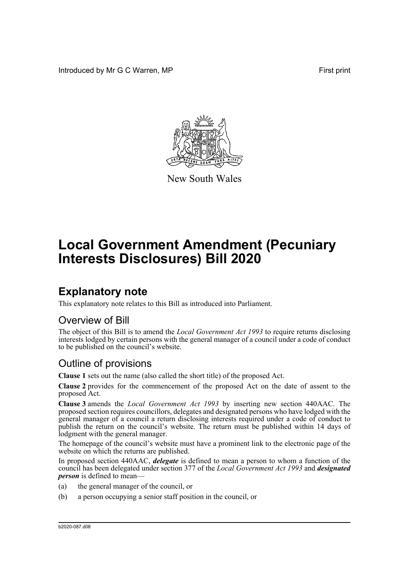Introduced by Mr G C Warren, MP **First** print



New South Wales

# **Local Government Amendment (Pecuniary Interests Disclosures) Bill 2020**

## **Explanatory note**

This explanatory note relates to this Bill as introduced into Parliament.

#### Overview of Bill

The object of this Bill is to amend the *Local Government Act 1993* to require returns disclosing interests lodged by certain persons with the general manager of a council under a code of conduct to be published on the council's website.

#### Outline of provisions

**Clause 1** sets out the name (also called the short title) of the proposed Act.

**Clause 2** provides for the commencement of the proposed Act on the date of assent to the proposed Act.

**Clause 3** amends the *Local Government Act 1993* by inserting new section 440AAC. The proposed section requires councillors, delegates and designated persons who have lodged with the general manager of a council a return disclosing interests required under a code of conduct to publish the return on the council's website. The return must be published within 14 days of lodgment with the general manager.

The homepage of the council's website must have a prominent link to the electronic page of the website on which the returns are published.

In proposed section 440AAC, *delegate* is defined to mean a person to whom a function of the council has been delegated under section 377 of the *Local Government Act 1993* and *designated person* is defined to mean—

- (a) the general manager of the council, or
- (b) a person occupying a senior staff position in the council, or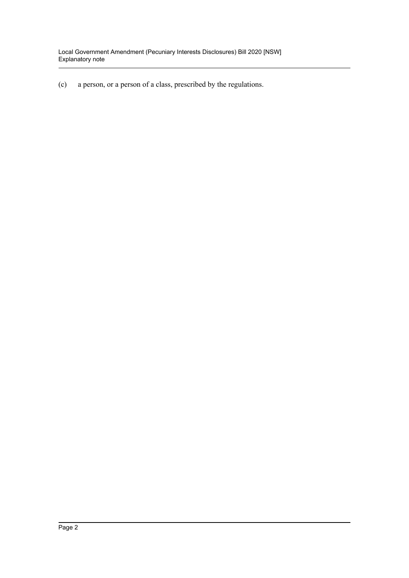(c) a person, or a person of a class, prescribed by the regulations.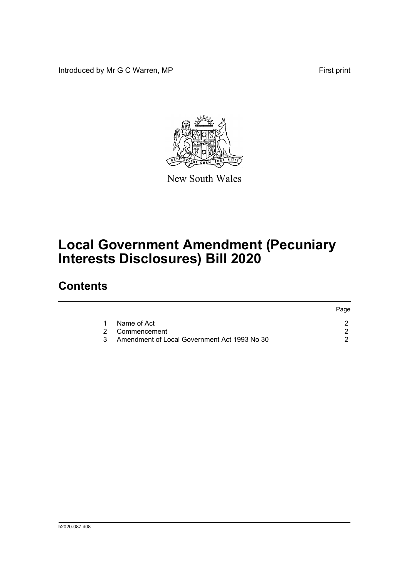Introduced by Mr G C Warren, MP **First** print



New South Wales

# **Local Government Amendment (Pecuniary Interests Disclosures) Bill 2020**

### **Contents**

|               |                                              | Page |
|---------------|----------------------------------------------|------|
|               | Name of Act                                  |      |
|               | 2 Commencement                               |      |
| $\mathcal{R}$ | Amendment of Local Government Act 1993 No 30 |      |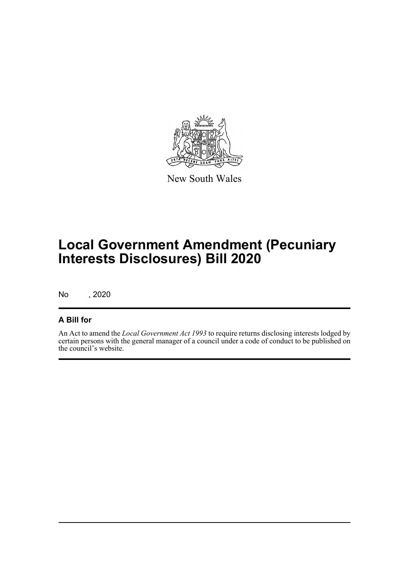

New South Wales

## **Local Government Amendment (Pecuniary Interests Disclosures) Bill 2020**

No , 2020

#### **A Bill for**

An Act to amend the *Local Government Act 1993* to require returns disclosing interests lodged by certain persons with the general manager of a council under a code of conduct to be published on the council's website.